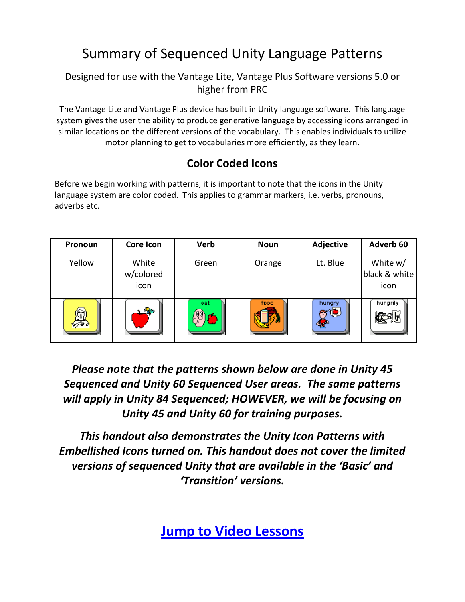# Summary of Sequenced Unity Language Patterns

#### Designed for use with the Vantage Lite, Vantage Plus Software versions 5.0 or higher from PRC

The Vantage Lite and Vantage Plus device has built in Unity language software. This language system gives the user the ability to produce generative language by accessing icons arranged in similar locations on the different versions of the vocabulary. This enables individuals to utilize motor planning to get to vocabularies more efficiently, as they learn.

### **Color Coded Icons**

Before we begin working with patterns, it is important to note that the icons in the Unity language system are color coded. This applies to grammar markers, i.e. verbs, pronouns, adverbs etc.

| Pronoun | <b>Core Icon</b>           | <b>Verb</b> | <b>Noun</b> | Adjective | Adverb <sub>60</sub>              |
|---------|----------------------------|-------------|-------------|-----------|-----------------------------------|
| Yellow  | White<br>w/colored<br>icon | Green       | Orange      | Lt. Blue  | White w/<br>black & white<br>icon |
|         | متلاء                      | eat<br>ľ۴   | food        | hungry    | hungrily                          |

*Please note that the patterns shown below are done in Unity 45 Sequenced and Unity 60 Sequenced User areas. The same patterns will apply in Unity 84 Sequenced; HOWEVER, we will be focusing on Unity 45 and Unity 60 for training purposes.*

*This handout also demonstrates the Unity Icon Patterns with Embellished Icons turned on. This handout does not cover the limited versions of sequenced Unity that are available in the 'Basic' and 'Transition' versions.*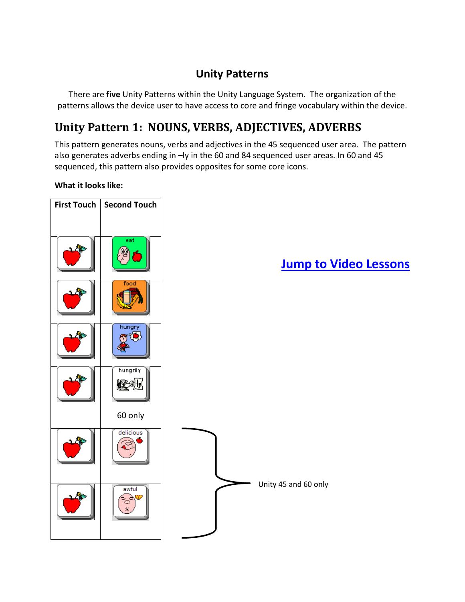#### **Unity Patterns**

There are **five** Unity Patterns within the Unity Language System. The organization of the patterns allows the device user to have access to core and fringe vocabulary within the device.

## **Unity Pattern 1: NOUNS, VERBS, ADJECTIVES, ADVERBS**

This pattern generates nouns, verbs and adjectives in the 45 sequenced user area. The pattern also generates adverbs ending in –ly in the 60 and 84 sequenced user areas. In 60 and 45 sequenced, this pattern also provides opposites for some core icons.

#### **What it looks like:**

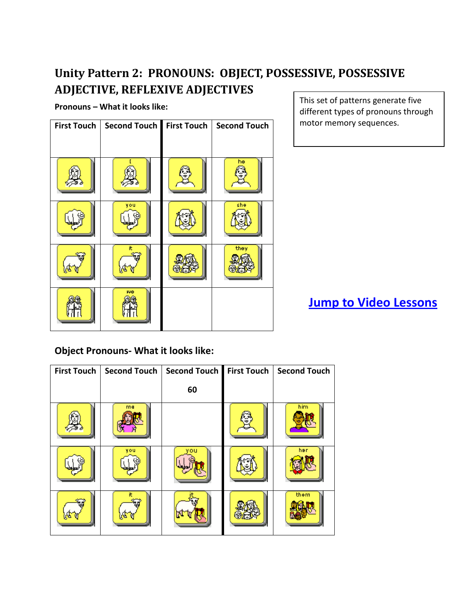## **Unity Pattern 2: PRONOUNS: OBJECT, POSSESSIVE, POSSESSIVE ADJECTIVE, REFLEXIVE ADJECTIVES**

**Pronouns – What it looks like:**

| <b>First Touch</b> | Second Touch First Touch | <b>Second Touch</b> |
|--------------------|--------------------------|---------------------|
|                    |                          | he                  |
|                    |                          |                     |
|                    | you                      | she                 |
|                    | it.                      | they                |
|                    | we                       |                     |

This set of patterns generate five different types of pronouns through motor memory sequences.

**[Jump to Video Lessons](#page-9-0)**

**Object Pronouns- What it looks like:**

| <b>First Touch</b> | <b>Second Touch</b> | <b>Second Touch</b> | <b>First Touch</b> | <b>Second Touch</b> |
|--------------------|---------------------|---------------------|--------------------|---------------------|
|                    |                     | 60                  |                    |                     |
|                    | me                  |                     |                    | him                 |
|                    | vou                 |                     |                    | her                 |
|                    |                     |                     |                    | them                |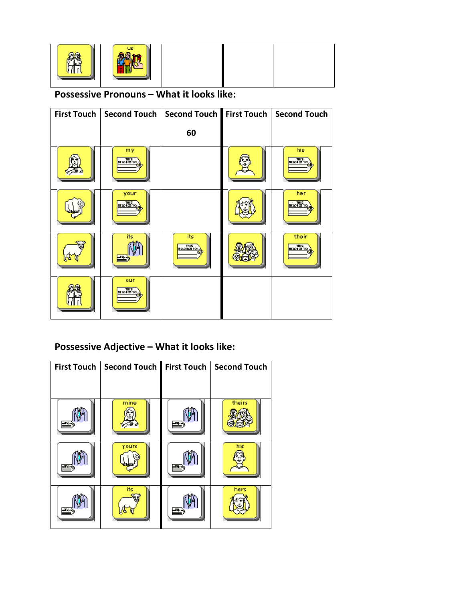| us |  |  |  |
|----|--|--|--|
|----|--|--|--|

#### **Possessive Pronouns – What it looks like:**

| First Touch |                                 | Second Touch   Second Touch   First Touch | <b>Second Touch</b>              |
|-------------|---------------------------------|-------------------------------------------|----------------------------------|
|             |                                 | 60                                        |                                  |
|             | my<br>$\frac{m}{2}$             |                                           | his<br>$\frac{m}{\sin \theta}$   |
|             | your<br>$\frac{m}{\sin \theta}$ |                                           | her.<br>$\frac{m}{\sin \theta}$  |
|             | its                             | its<br>$\frac{m}{\sin \theta}$            | their<br>$\frac{m}{\sin \theta}$ |
|             | our<br><b>BELORED TO:</b>       |                                           |                                  |

### **Possessive Adjective – What it looks like:**

| <b>First Touch</b> | Second Touch | <b>First Touch</b> | <b>Second Touch</b> |
|--------------------|--------------|--------------------|---------------------|
|                    |              |                    |                     |
|                    | mine         |                    | theirs              |
|                    | yours        |                    | his                 |
|                    | its          |                    | hers                |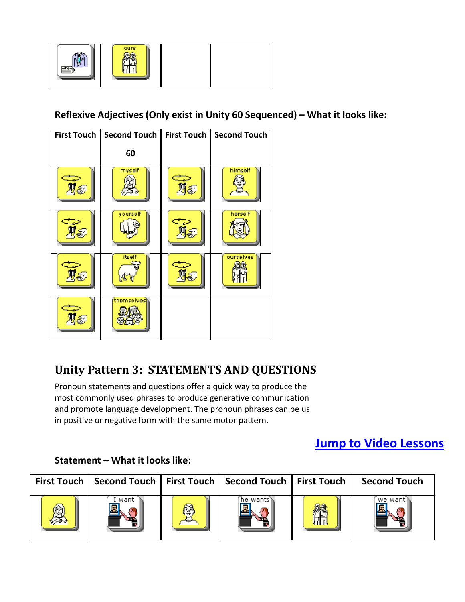

**Reflexive Adjectives (Only exist in Unity 60 Sequenced) – What it looks like:**



## **Unity Pattern 3: STATEMENTS AND QUESTIONS**

Pronoun statements and questions offer a quick way to produce the most commonly used phrases to produce generative communication and promote language development. The pronoun phrases can be us in positive or negative form with the same motor pattern.

## **[Jump to Video Lessons](#page-9-0)**

#### **Statement – What it looks like:**

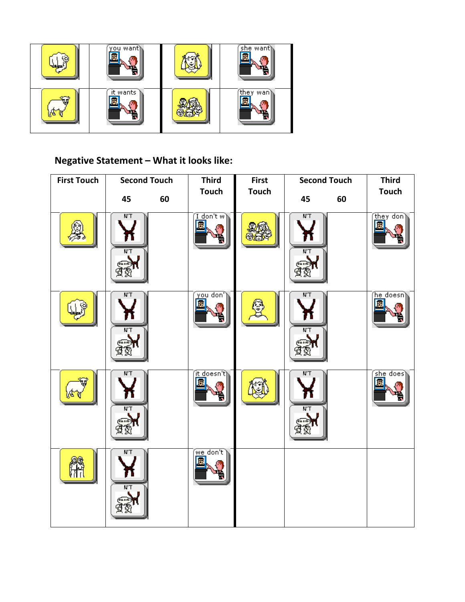

## **Negative Statement – What it looks like:**

| <b>First Touch</b> | <b>Second Touch</b>  |    | <b>Third</b>                          | <b>First</b> | <b>Second Touch</b>    |    | <b>Third</b>             |
|--------------------|----------------------|----|---------------------------------------|--------------|------------------------|----|--------------------------|
|                    | 45                   | 60 | <b>Touch</b>                          | <b>Touch</b> | 45                     | 60 | <b>Touch</b>             |
|                    | $N^+$<br>$N^+$       |    | $\overline{1}$ don't w $\overline{1}$ |              | $N$ T<br>$N^+$         |    | they don)<br>Б           |
|                    | N'T<br>$N^{\dagger}$ |    | <u>'you don'</u>                      |              | $N^{\prime}T$<br>$N^+$ |    | (he_doesn                |
|                    | $N^+$<br>$N^+$       |    | <u>it d</u> oesn't <sub>)</sub>       |              | $N^+$<br>$N^+$         |    | $\sqrt{\text{she does}}$ |
|                    | $N^+$<br>$N^+$       |    | $\sqrt{w}$ e don't $\sqrt{w}$         |              |                        |    |                          |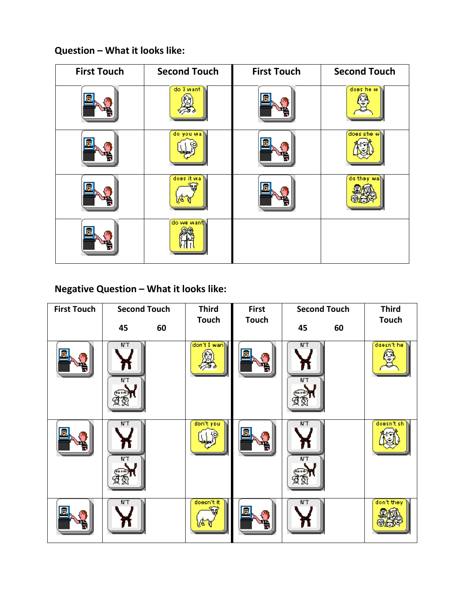#### **Question – What it looks like:**

| <b>First Touch</b> | <b>Second Touch</b> | <b>First Touch</b> | <b>Second Touch</b> |
|--------------------|---------------------|--------------------|---------------------|
|                    | do I want           |                    | does he w           |
|                    | do you wa           |                    | does she wh         |
|                    | does it wa          |                    | do they wall        |
|                    | do we want          |                    |                     |

### **Negative Question – What it looks like:**

| <b>First Touch</b> | <b>Second Touch</b>  |    | <b>Third</b>     | <b>First</b> | <b>Second Touch</b>  |    | <b>Third</b> |
|--------------------|----------------------|----|------------------|--------------|----------------------|----|--------------|
|                    | 45                   | 60 | <b>Touch</b>     | <b>Touch</b> | 45                   | 60 | <b>Touch</b> |
|                    | $N^{\dagger}$<br>N'T |    | don't I wan      |              | $N^+$<br>N'T         |    | doesn't he   |
|                    | $N^{\prime}T$<br>N'T |    | don't you.       |              | $N^{\dagger}$<br>N'T |    | doesn't sh   |
|                    | N'T                  |    | doesn't it.<br>ъ |              | N'T                  |    | don't they   |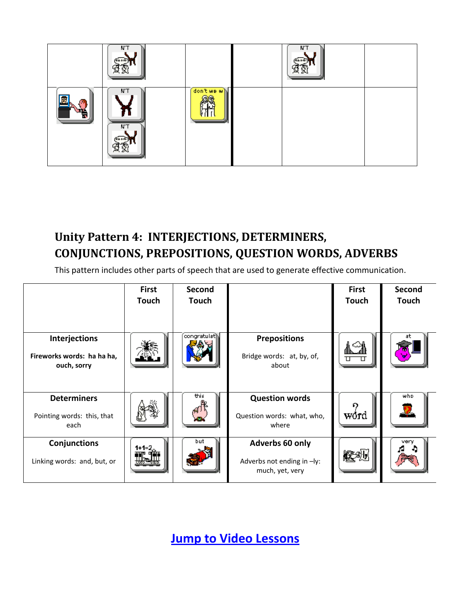

## **Unity Pattern 4: INTERJECTIONS, DETERMINERS, CONJUNCTIONS, PREPOSITIONS, QUESTION WORDS, ADVERBS**

This pattern includes other parts of speech that are used to generate effective communication.

|                                                            | <b>First</b><br><b>Touch</b> | Second<br><b>Touch</b> |                                                                  | <b>First</b><br><b>Touch</b> | Second<br><b>Touch</b> |
|------------------------------------------------------------|------------------------------|------------------------|------------------------------------------------------------------|------------------------------|------------------------|
| Interjections<br>Fireworks words: ha ha ha,<br>ouch, sorry |                              | congratulath           | <b>Prepositions</b><br>Bridge words: at, by, of,<br>about        |                              | at                     |
| <b>Determiners</b><br>Pointing words: this, that<br>each   |                              | this                   | <b>Question words</b><br>Question words: what, who,<br>where     | P.<br>word                   | who                    |
| Conjunctions<br>Linking words: and, but, or                | 1+1⊨:                        | but                    | Adverbs 60 only<br>Adverbs not ending in -ly:<br>much, yet, very |                              | very                   |

**[Jump to Video Lessons](#page-9-0)**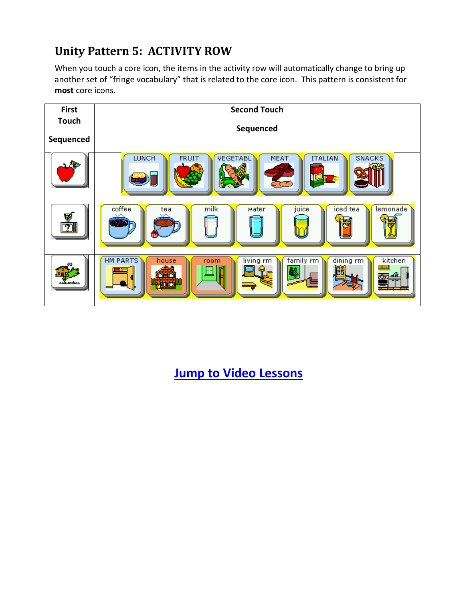## **Unity Pattern 5: ACTIVITY ROW**

When you touch a core icon, the items in the activity row will automatically change to bring up another set of "fringe vocabulary" that is related to the core icon. This pattern is consistent for **most** core icons.



**[Jump to Video Lessons](#page-9-0)**